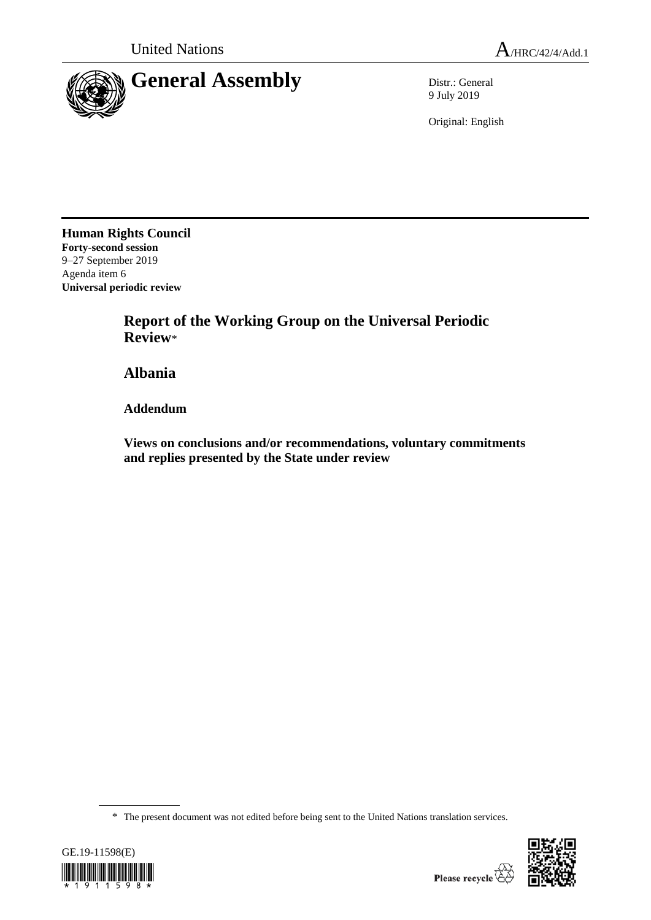

9 July 2019

Original: English

**Human Rights Council Forty-second session** 9–27 September 2019 Agenda item 6 **Universal periodic review**

> **Report of the Working Group on the Universal Periodic Review**\*

**Albania**

**Addendum**

**Views on conclusions and/or recommendations, voluntary commitments and replies presented by the State under review**

\* The present document was not edited before being sent to the United Nations translation services.



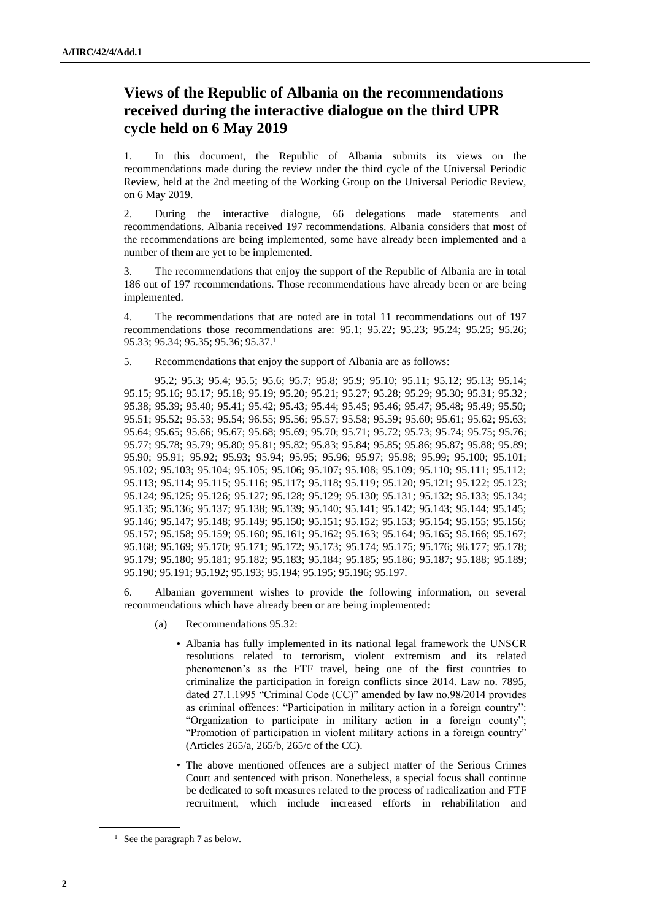## **Views of the Republic of Albania on the recommendations received during the interactive dialogue on the third UPR cycle held on 6 May 2019**

1. In this document, the Republic of Albania submits its views on the recommendations made during the review under the third cycle of the Universal Periodic Review, held at the 2nd meeting of the Working Group on the Universal Periodic Review, on 6 May 2019.

2. During the interactive dialogue, 66 delegations made statements and recommendations. Albania received 197 recommendations. Albania considers that most of the recommendations are being implemented, some have already been implemented and a number of them are yet to be implemented.

3. The recommendations that enjoy the support of the Republic of Albania are in total 186 out of 197 recommendations. Those recommendations have already been or are being implemented.

4. The recommendations that are noted are in total 11 recommendations out of 197 recommendations those recommendations are: 95.1; 95.22; 95.23; 95.24; 95.25; 95.26; 95.33; 95.34; 95.35; 95.36; 95.37.<sup>1</sup>

5. Recommendations that enjoy the support of Albania are as follows:

95.2; 95.3; 95.4; 95.5; 95.6; 95.7; 95.8; 95.9; 95.10; 95.11; 95.12; 95.13; 95.14; 95.15; 95.16; 95.17; 95.18; 95.19; 95.20; 95.21; 95.27; 95.28; 95.29; 95.30; 95.31; 95.32; 95.38; 95.39; 95.40; 95.41; 95.42; 95.43; 95.44; 95.45; 95.46; 95.47; 95.48; 95.49; 95.50; 95.51; 95.52; 95.53; 95.54; 96.55; 95.56; 95.57; 95.58; 95.59; 95.60; 95.61; 95.62; 95.63; 95.64; 95.65; 95.66; 95.67; 95.68; 95.69; 95.70; 95.71; 95.72; 95.73; 95.74; 95.75; 95.76; 95.77; 95.78; 95.79; 95.80; 95.81; 95.82; 95.83; 95.84; 95.85; 95.86; 95.87; 95.88; 95.89; 95.90; 95.91; 95.92; 95.93; 95.94; 95.95; 95.96; 95.97; 95.98; 95.99; 95.100; 95.101; 95.102; 95.103; 95.104; 95.105; 95.106; 95.107; 95.108; 95.109; 95.110; 95.111; 95.112; 95.113; 95.114; 95.115; 95.116; 95.117; 95.118; 95.119; 95.120; 95.121; 95.122; 95.123; 95.124; 95.125; 95.126; 95.127; 95.128; 95.129; 95.130; 95.131; 95.132; 95.133; 95.134; 95.135; 95.136; 95.137; 95.138; 95.139; 95.140; 95.141; 95.142; 95.143; 95.144; 95.145; 95.146; 95.147; 95.148; 95.149; 95.150; 95.151; 95.152; 95.153; 95.154; 95.155; 95.156; 95.157; 95.158; 95.159; 95.160; 95.161; 95.162; 95.163; 95.164; 95.165; 95.166; 95.167; 95.168; 95.169; 95.170; 95.171; 95.172; 95.173; 95.174; 95.175; 95.176; 96.177; 95.178; 95.179; 95.180; 95.181; 95.182; 95.183; 95.184; 95.185; 95.186; 95.187; 95.188; 95.189; 95.190; 95.191; 95.192; 95.193; 95.194; 95.195; 95.196; 95.197.

6. Albanian government wishes to provide the following information, on several recommendations which have already been or are being implemented:

- (a) Recommendations 95.32:
	- Albania has fully implemented in its national legal framework the UNSCR resolutions related to terrorism, violent extremism and its related phenomenon's as the FTF travel, being one of the first countries to criminalize the participation in foreign conflicts since 2014. Law no. 7895, dated 27.1.1995 "Criminal Code (CC)" amended by law no.98/2014 provides as criminal offences: "Participation in military action in a foreign country": "Organization to participate in military action in a foreign county"; "Promotion of participation in violent military actions in a foreign country" (Articles 265/a, 265/b, 265/c of the CC).
	- The above mentioned offences are a subject matter of the Serious Crimes Court and sentenced with prison. Nonetheless, a special focus shall continue be dedicated to soft measures related to the process of radicalization and FTF recruitment, which include increased efforts in rehabilitation and

 $<sup>1</sup>$  See the paragraph 7 as below.</sup>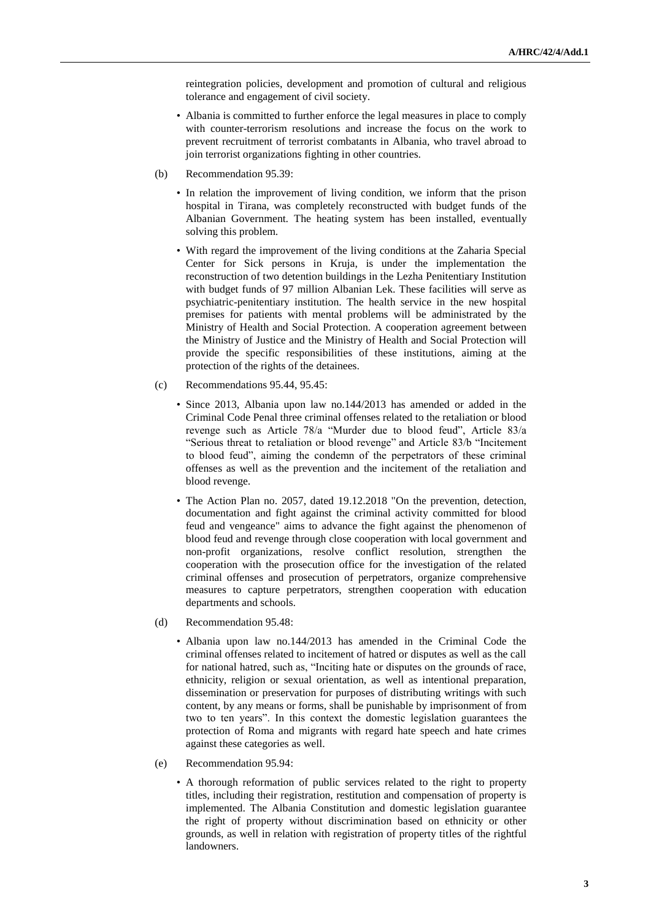reintegration policies, development and promotion of cultural and religious tolerance and engagement of civil society.

- Albania is committed to further enforce the legal measures in place to comply with counter-terrorism resolutions and increase the focus on the work to prevent recruitment of terrorist combatants in Albania, who travel abroad to join terrorist organizations fighting in other countries.
- (b) Recommendation 95.39:
	- In relation the improvement of living condition, we inform that the prison hospital in Tirana, was completely reconstructed with budget funds of the Albanian Government. The heating system has been installed, eventually solving this problem.
	- With regard the improvement of the living conditions at the Zaharia Special Center for Sick persons in Kruja, is under the implementation the reconstruction of two detention buildings in the Lezha Penitentiary Institution with budget funds of 97 million Albanian Lek. These facilities will serve as psychiatric-penitentiary institution. The health service in the new hospital premises for patients with mental problems will be administrated by the Ministry of Health and Social Protection. A cooperation agreement between the Ministry of Justice and the Ministry of Health and Social Protection will provide the specific responsibilities of these institutions, aiming at the protection of the rights of the detainees.
- (c) Recommendations 95.44, 95.45:
	- Since 2013, Albania upon law no.144/2013 has amended or added in the Criminal Code Penal three criminal offenses related to the retaliation or blood revenge such as Article 78/a "Murder due to blood feud", Article 83/a "Serious threat to retaliation or blood revenge" and Article 83/b "Incitement to blood feud", aiming the condemn of the perpetrators of these criminal offenses as well as the prevention and the incitement of the retaliation and blood revenge.
	- The Action Plan no. 2057, dated 19.12.2018 "On the prevention, detection, documentation and fight against the criminal activity committed for blood feud and vengeance" aims to advance the fight against the phenomenon of blood feud and revenge through close cooperation with local government and non-profit organizations, resolve conflict resolution, strengthen the cooperation with the prosecution office for the investigation of the related criminal offenses and prosecution of perpetrators, organize comprehensive measures to capture perpetrators, strengthen cooperation with education departments and schools.
- (d) Recommendation 95.48:
	- Albania upon law no.144/2013 has amended in the Criminal Code the criminal offenses related to incitement of hatred or disputes as well as the call for national hatred, such as, "Inciting hate or disputes on the grounds of race, ethnicity, religion or sexual orientation, as well as intentional preparation, dissemination or preservation for purposes of distributing writings with such content, by any means or forms, shall be punishable by imprisonment of from two to ten years". In this context the domestic legislation guarantees the protection of Roma and migrants with regard hate speech and hate crimes against these categories as well.
- (e) Recommendation 95.94:
	- A thorough reformation of public services related to the right to property titles, including their registration, restitution and compensation of property is implemented. The Albania Constitution and domestic legislation guarantee the right of property without discrimination based on ethnicity or other grounds, as well in relation with registration of property titles of the rightful landowners.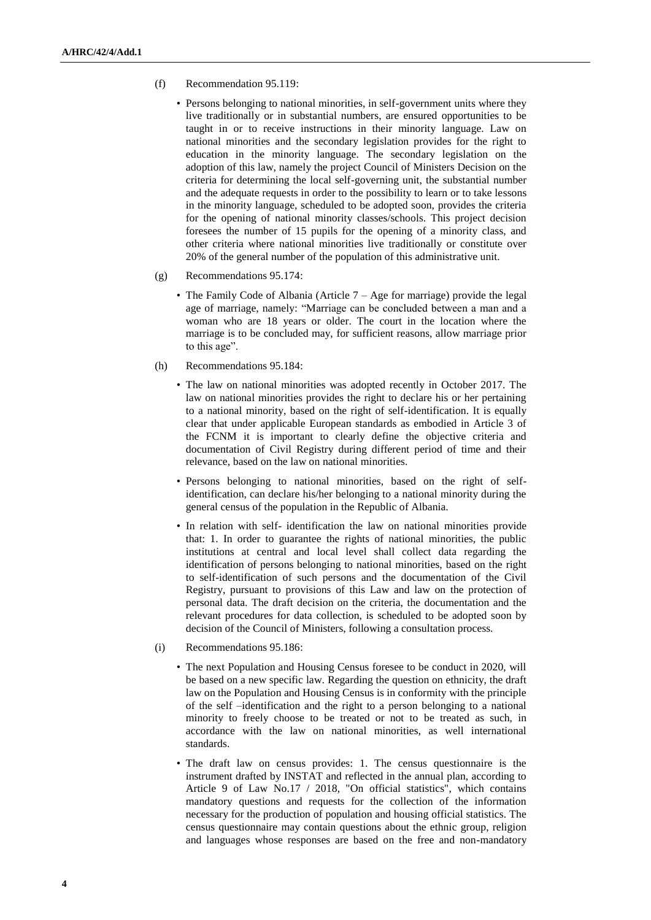- (f) Recommendation 95.119:
	- Persons belonging to national minorities, in self-government units where they live traditionally or in substantial numbers, are ensured opportunities to be taught in or to receive instructions in their minority language. Law on national minorities and the secondary legislation provides for the right to education in the minority language. The secondary legislation on the adoption of this law, namely the project Council of Ministers Decision on the criteria for determining the local self-governing unit, the substantial number and the adequate requests in order to the possibility to learn or to take lessons in the minority language, scheduled to be adopted soon, provides the criteria for the opening of national minority classes/schools. This project decision foresees the number of 15 pupils for the opening of a minority class, and other criteria where national minorities live traditionally or constitute over 20% of the general number of the population of this administrative unit.
- (g) Recommendations 95.174:
	- The Family Code of Albania (Article  $7 Age$  for marriage) provide the legal age of marriage, namely: "Marriage can be concluded between a man and a woman who are 18 years or older. The court in the location where the marriage is to be concluded may, for sufficient reasons, allow marriage prior to this age".
- (h) Recommendations 95.184:
	- The law on national minorities was adopted recently in October 2017. The law on national minorities provides the right to declare his or her pertaining to a national minority, based on the right of self-identification. It is equally clear that under applicable European standards as embodied in Article 3 of the FCNM it is important to clearly define the objective criteria and documentation of Civil Registry during different period of time and their relevance, based on the law on national minorities.
	- Persons belonging to national minorities, based on the right of selfidentification, can declare his/her belonging to a national minority during the general census of the population in the Republic of Albania.
	- In relation with self- identification the law on national minorities provide that: 1. In order to guarantee the rights of national minorities, the public institutions at central and local level shall collect data regarding the identification of persons belonging to national minorities, based on the right to self-identification of such persons and the documentation of the Civil Registry, pursuant to provisions of this Law and law on the protection of personal data. The draft decision on the criteria, the documentation and the relevant procedures for data collection, is scheduled to be adopted soon by decision of the Council of Ministers, following a consultation process.
- (i) Recommendations 95.186:
	- The next Population and Housing Census foresee to be conduct in 2020, will be based on a new specific law. Regarding the question on ethnicity, the draft law on the Population and Housing Census is in conformity with the principle of the self –identification and the right to a person belonging to a national minority to freely choose to be treated or not to be treated as such, in accordance with the law on national minorities, as well international standards.
	- The draft law on census provides: 1. The census questionnaire is the instrument drafted by INSTAT and reflected in the annual plan, according to Article 9 of Law No.17 / 2018, "On official statistics", which contains mandatory questions and requests for the collection of the information necessary for the production of population and housing official statistics. The census questionnaire may contain questions about the ethnic group, religion and languages whose responses are based on the free and non-mandatory